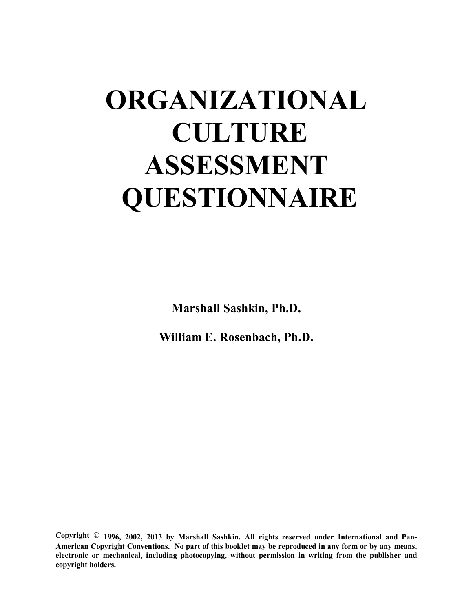# **ORGANIZATIONAL CULTURE ASSESSMENT QUESTIONNAIRE**

**Marshall Sashkin, Ph.D.**

**William E. Rosenbach, Ph.D.**

Copyright <sup>©</sup> 1996, 2002, 2013 by Marshall Sashkin. All rights reserved under International and Pan-**American Copyright Conventions. No part of this booklet may be reproduced in any form or by any means, electronic or mechanical, including photocopying, without permission in writing from the publisher and copyright holders.**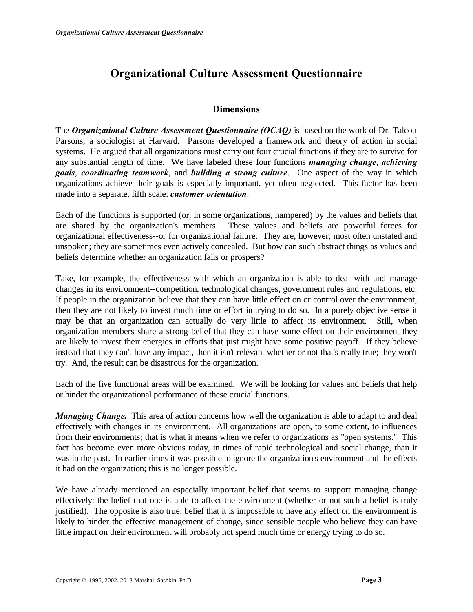#### **Dimensions**

The *Organizational Culture Assessment Questionnaire (OCAQ)* is based on the work of Dr. Talcott Parsons, a sociologist at Harvard. Parsons developed a framework and theory of action in social systems. He argued that all organizations must carry out four crucial functions if they are to survive for any substantial length of time. We have labeled these four functions *managing change*, *achieving goals*, *coordinating teamwork*, and *building a strong culture*. One aspect of the way in which organizations achieve their goals is especially important, yet often neglected. This factor has been made into a separate, fifth scale: *customer orientation*.

Each of the functions is supported (or, in some organizations, hampered) by the values and beliefs that are shared by the organization's members. These values and beliefs are powerful forces for organizational effectiveness--or for organizational failure. They are, however, most often unstated and unspoken; they are sometimes even actively concealed. But how can such abstract things as values and beliefs determine whether an organization fails or prospers?

Take, for example, the effectiveness with which an organization is able to deal with and manage changes in its environment--competition, technological changes, government rules and regulations, etc. If people in the organization believe that they can have little effect on or control over the environment, then they are not likely to invest much time or effort in trying to do so. In a purely objective sense it may be that an organization can actually do very little to affect its environment. Still, when organization members share a strong belief that they can have some effect on their environment they are likely to invest their energies in efforts that just might have some positive payoff. If they believe instead that they can't have any impact, then it isn't relevant whether or not that's really true; they won't try. And, the result can be disastrous for the organization.

Each of the five functional areas will be examined. We will be looking for values and beliefs that help or hinder the organizational performance of these crucial functions.

*Managing Change.* This area of action concerns how well the organization is able to adapt to and deal effectively with changes in its environment. All organizations are open, to some extent, to influences from their environments; that is what it means when we refer to organizations as "open systems." This fact has become even more obvious today, in times of rapid technological and social change, than it was in the past. In earlier times it was possible to ignore the organization's environment and the effects it had on the organization; this is no longer possible.

We have already mentioned an especially important belief that seems to support managing change effectively: the belief that one is able to affect the environment (whether or not such a belief is truly justified). The opposite is also true: belief that it is impossible to have any effect on the environment is likely to hinder the effective management of change, since sensible people who believe they can have little impact on their environment will probably not spend much time or energy trying to do so.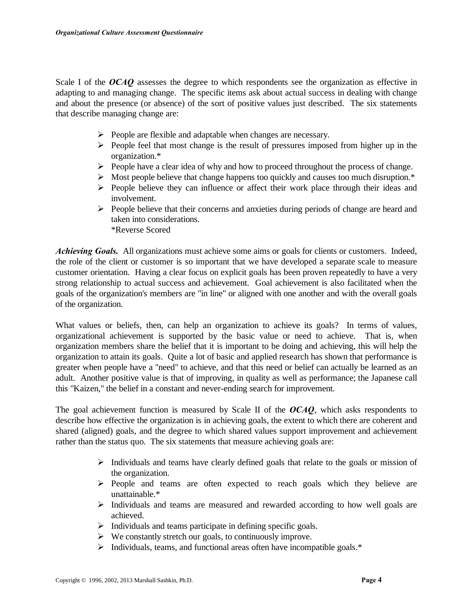Scale I of the *OCAQ* assesses the degree to which respondents see the organization as effective in adapting to and managing change. The specific items ask about actual success in dealing with change and about the presence (or absence) of the sort of positive values just described. The six statements that describe managing change are:

- $\triangleright$  People are flexible and adaptable when changes are necessary.
- $\triangleright$  People feel that most change is the result of pressures imposed from higher up in the organization.\*
- $\triangleright$  People have a clear idea of why and how to proceed throughout the process of change.
- $\triangleright$  Most people believe that change happens too quickly and causes too much disruption.\*
- $\triangleright$  People believe they can influence or affect their work place through their ideas and involvement.
- $\triangleright$  People believe that their concerns and anxieties during periods of change are heard and taken into considerations. \*Reverse Scored

*Achieving Goals.* All organizations must achieve some aims or goals for clients or customers. Indeed, the role of the client or customer is so important that we have developed a separate scale to measure customer orientation. Having a clear focus on explicit goals has been proven repeatedly to have a very strong relationship to actual success and achievement. Goal achievement is also facilitated when the goals of the organization's members are "in line" or aligned with one another and with the overall goals of the organization.

What values or beliefs, then, can help an organization to achieve its goals? In terms of values, organizational achievement is supported by the basic value or need to achieve. That is, when organization members share the belief that it is important to be doing and achieving, this will help the organization to attain its goals. Quite a lot of basic and applied research has shown that performance is greater when people have a "need" to achieve, and that this need or belief can actually be learned as an adult. Another positive value is that of improving, in quality as well as performance; the Japanese call this "Kaizen," the belief in a constant and never-ending search for improvement.

The goal achievement function is measured by Scale II of the *OCAQ*, which asks respondents to describe how effective the organization is in achieving goals, the extent to which there are coherent and shared (aligned) goals, and the degree to which shared values support improvement and achievement rather than the status quo. The six statements that measure achieving goals are:

- $\triangleright$  Individuals and teams have clearly defined goals that relate to the goals or mission of the organization.
- $\triangleright$  People and teams are often expected to reach goals which they believe are unattainable.\*
- $\triangleright$  Individuals and teams are measured and rewarded according to how well goals are achieved.
- $\triangleright$  Individuals and teams participate in defining specific goals.
- $\triangleright$  We constantly stretch our goals, to continuously improve.
- > Individuals, teams, and functional areas often have incompatible goals.\*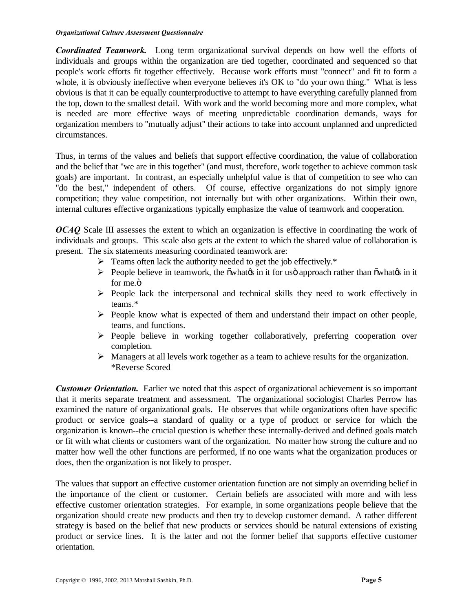*Coordinated Teamwork.* Long term organizational survival depends on how well the efforts of individuals and groups within the organization are tied together, coordinated and sequenced so that people's work efforts fit together effectively. Because work efforts must "connect" and fit to form a whole, it is obviously ineffective when everyone believes it's OK to "do your own thing." What is less obvious is that it can be equally counterproductive to attempt to have everything carefully planned from the top, down to the smallest detail. With work and the world becoming more and more complex, what is needed are more effective ways of meeting unpredictable coordination demands, ways for organization members to "mutually adjust" their actions to take into account unplanned and unpredicted circumstances.

Thus, in terms of the values and beliefs that support effective coordination, the value of collaboration and the belief that "we are in this together" (and must, therefore, work together to achieve common task goals) are important. In contrast, an especially unhelpful value is that of competition to see who can "do the best," independent of others. Of course, effective organizations do not simply ignore competition; they value competition, not internally but with other organizations. Within their own, internal cultures effective organizations typically emphasize the value of teamwork and cooperation.

*OCAQ* Scale III assesses the extent to which an organization is effective in coordinating the work of individuals and groups. This scale also gets at the extent to which the shared value of collaboration is present. The six statements measuring coordinated teamwork are:

- $\triangleright$  Teams often lack the authority needed to get the job effectively.\*
- $\triangleright$  People believe in teamwork, the  $\tilde{\text{ow}}$  batted in it for uso approach rather than  $\tilde{\text{ow}}$  batted in it for me. $\ddot{\text{o}}$
- $\triangleright$  People lack the interpersonal and technical skills they need to work effectively in teams.\*
- $\triangleright$  People know what is expected of them and understand their impact on other people, teams, and functions.
- ÿ People believe in working together collaboratively, preferring cooperation over completion.
- $\triangleright$  Managers at all levels work together as a team to achieve results for the organization. \*Reverse Scored

*Customer Orientation.* Earlier we noted that this aspect of organizational achievement is so important that it merits separate treatment and assessment. The organizational sociologist Charles Perrow has examined the nature of organizational goals. He observes that while organizations often have specific product or service goals--a standard of quality or a type of product or service for which the organization is known--the crucial question is whether these internally-derived and defined goals match or fit with what clients or customers want of the organization. No matter how strong the culture and no matter how well the other functions are performed, if no one wants what the organization produces or does, then the organization is not likely to prosper.

The values that support an effective customer orientation function are not simply an overriding belief in the importance of the client or customer. Certain beliefs are associated with more and with less effective customer orientation strategies. For example, in some organizations people believe that the organization should create new products and then try to develop customer demand. A rather different strategy is based on the belief that new products or services should be natural extensions of existing product or service lines. It is the latter and not the former belief that supports effective customer orientation.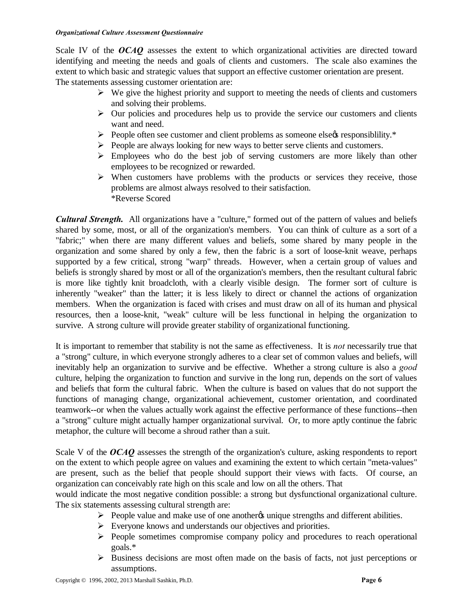Scale IV of the *OCAQ* assesses the extent to which organizational activities are directed toward identifying and meeting the needs and goals of clients and customers. The scale also examines the extent to which basic and strategic values that support an effective customer orientation are present. The statements assessing customer orientation are:

- $\triangleright$  We give the highest priority and support to meeting the needs of clients and customers and solving their problems.
- $\triangleright$  Our policies and procedures help us to provide the service our customers and clients want and need.
- $\triangleright$  People often see customer and client problems as someone else $\alpha$  responsibility.\*
- $\triangleright$  People are always looking for new ways to better serve clients and customers.
- $\triangleright$  Employees who do the best job of serving customers are more likely than other employees to be recognized or rewarded.
- $\triangleright$  When customers have problems with the products or services they receive, those problems are almost always resolved to their satisfaction. \*Reverse Scored

*Cultural Strength.* All organizations have a "culture," formed out of the pattern of values and beliefs shared by some, most, or all of the organization's members. You can think of culture as a sort of a "fabric;" when there are many different values and beliefs, some shared by many people in the organization and some shared by only a few, then the fabric is a sort of loose-knit weave, perhaps supported by a few critical, strong "warp" threads. However, when a certain group of values and beliefs is strongly shared by most or all of the organization's members, then the resultant cultural fabric is more like tightly knit broadcloth, with a clearly visible design. The former sort of culture is inherently "weaker" than the latter; it is less likely to direct or channel the actions of organization members. When the organization is faced with crises and must draw on all of its human and physical resources, then a loose-knit, "weak" culture will be less functional in helping the organization to survive. A strong culture will provide greater stability of organizational functioning.

It is important to remember that stability is not the same as effectiveness. It is *not* necessarily true that a "strong" culture, in which everyone strongly adheres to a clear set of common values and beliefs, will inevitably help an organization to survive and be effective. Whether a strong culture is also a *good* culture, helping the organization to function and survive in the long run, depends on the sort of values and beliefs that form the cultural fabric. When the culture is based on values that do not support the functions of managing change, organizational achievement, customer orientation, and coordinated teamwork--or when the values actually work against the effective performance of these functions--then a "strong" culture might actually hamper organizational survival. Or, to more aptly continue the fabric metaphor, the culture will become a shroud rather than a suit.

Scale V of the *OCAQ* assesses the strength of the organization's culture, asking respondents to report on the extent to which people agree on values and examining the extent to which certain "meta-values" are present, such as the belief that people should support their views with facts. Of course, an organization can conceivably rate high on this scale and low on all the others. That

would indicate the most negative condition possible: a strong but dysfunctional organizational culture. The six statements assessing cultural strength are:

- $\triangleright$  People value and make use of one anotheros unique strengths and different abilities.
- $\triangleright$  Everyone knows and understands our objectives and priorities.
- $\triangleright$  People sometimes compromise company policy and procedures to reach operational goals.\*
- $\triangleright$  Business decisions are most often made on the basis of facts, not just perceptions or assumptions.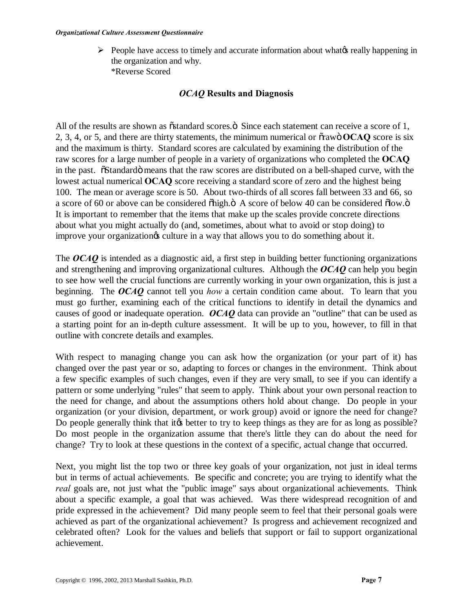$\triangleright$  People have access to timely and accurate information about what e really happening in the organization and why. \*Reverse Scored

#### *OCAQ* **Results and Diagnosis**

All of the results are shown as  $\tilde{\text{o}}$  standard scores. $\ddot{\text{o}}$  Since each statement can receive a score of 1, 2, 3, 4, or 5, and there are thirty statements, the minimum numerical or "raw" **OCAQ** score is six and the maximum is thirty. Standard scores are calculated by examining the distribution of the raw scores for a large number of people in a variety of organizations who completed the **OCAQ**  in the past. "Standardö means that the raw scores are distributed on a bell-shaped curve, with the lowest actual numerical **OCAQ** score receiving a standard score of zero and the highest being 100. The mean or average score is 50. About two-thirds of all scores fall between 33 and 66, so a score of 60 or above can be considered  $\delta$ high. $\ddot{o}$  A score of below 40 can be considered  $\delta$ low. $\ddot{o}$ It is important to remember that the items that make up the scales provide concrete directions about what you might actually do (and, sometimes, about what to avoid or stop doing) to improve your organization is culture in a way that allows you to do something about it.

The *OCAQ* is intended as a diagnostic aid, a first step in building better functioning organizations and strengthening and improving organizational cultures. Although the *OCAQ* can help you begin to see how well the crucial functions are currently working in your own organization, this is just a beginning. The *OCAQ* cannot tell you *how* a certain condition came about. To learn that you must go further, examining each of the critical functions to identify in detail the dynamics and causes of good or inadequate operation. *OCAQ* data can provide an "outline" that can be used as a starting point for an in-depth culture assessment. It will be up to you, however, to fill in that outline with concrete details and examples.

With respect to managing change you can ask how the organization (or your part of it) has changed over the past year or so, adapting to forces or changes in the environment. Think about a few specific examples of such changes, even if they are very small, to see if you can identify a pattern or some underlying "rules" that seem to apply. Think about your own personal reaction to the need for change, and about the assumptions others hold about change. Do people in your organization (or your division, department, or work group) avoid or ignore the need for change? Do people generally think that it the better to try to keep things as they are for as long as possible? Do most people in the organization assume that there's little they can do about the need for change? Try to look at these questions in the context of a specific, actual change that occurred.

Next, you might list the top two or three key goals of your organization, not just in ideal terms but in terms of actual achievements. Be specific and concrete; you are trying to identify what the *real* goals are, not just what the "public image" says about organizational achievements. Think about a specific example, a goal that was achieved. Was there widespread recognition of and pride expressed in the achievement? Did many people seem to feel that their personal goals were achieved as part of the organizational achievement? Is progress and achievement recognized and celebrated often? Look for the values and beliefs that support or fail to support organizational achievement.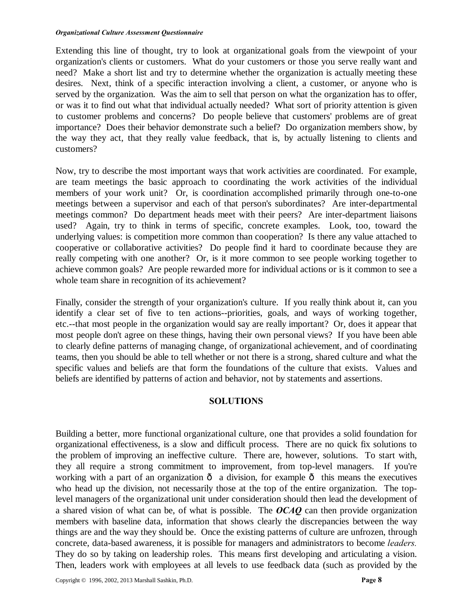Extending this line of thought, try to look at organizational goals from the viewpoint of your organization's clients or customers. What do your customers or those you serve really want and need? Make a short list and try to determine whether the organization is actually meeting these desires. Next, think of a specific interaction involving a client, a customer, or anyone who is served by the organization. Was the aim to sell that person on what the organization has to offer, or was it to find out what that individual actually needed? What sort of priority attention is given to customer problems and concerns? Do people believe that customers' problems are of great importance? Does their behavior demonstrate such a belief? Do organization members show, by the way they act, that they really value feedback, that is, by actually listening to clients and customers?

Now, try to describe the most important ways that work activities are coordinated. For example, are team meetings the basic approach to coordinating the work activities of the individual members of your work unit? Or, is coordination accomplished primarily through one-to-one meetings between a supervisor and each of that person's subordinates? Are inter-departmental meetings common? Do department heads meet with their peers? Are inter-department liaisons used? Again, try to think in terms of specific, concrete examples. Look, too, toward the underlying values: is competition more common than cooperation? Is there any value attached to cooperative or collaborative activities? Do people find it hard to coordinate because they are really competing with one another? Or, is it more common to see people working together to achieve common goals? Are people rewarded more for individual actions or is it common to see a whole team share in recognition of its achievement?

Finally, consider the strength of your organization's culture. If you really think about it, can you identify a clear set of five to ten actions--priorities, goals, and ways of working together, etc.--that most people in the organization would say are really important? Or, does it appear that most people don't agree on these things, having their own personal views? If you have been able to clearly define patterns of managing change, of organizational achievement, and of coordinating teams, then you should be able to tell whether or not there is a strong, shared culture and what the specific values and beliefs are that form the foundations of the culture that exists. Values and beliefs are identified by patterns of action and behavior, not by statements and assertions.

#### **SOLUTIONS**

Building a better, more functional organizational culture, one that provides a solid foundation for organizational effectiveness, is a slow and difficult process. There are no quick fix solutions to the problem of improving an ineffective culture. There are, however, solutions. To start with, they all require a strong commitment to improvement, from top-level managers. If you're working with a part of an organization  $\hat{o}$  a division, for example  $\hat{o}$  this means the executives who head up the division, not necessarily those at the top of the entire organization. The toplevel managers of the organizational unit under consideration should then lead the development of a shared vision of what can be, of what is possible. The *OCAQ* can then provide organization members with baseline data, information that shows clearly the discrepancies between the way things are and the way they should be. Once the existing patterns of culture are unfrozen, through concrete, data-based awareness, it is possible for managers and administrators to become *leaders.*  They do so by taking on leadership roles. This means first developing and articulating a vision. Then, leaders work with employees at all levels to use feedback data (such as provided by the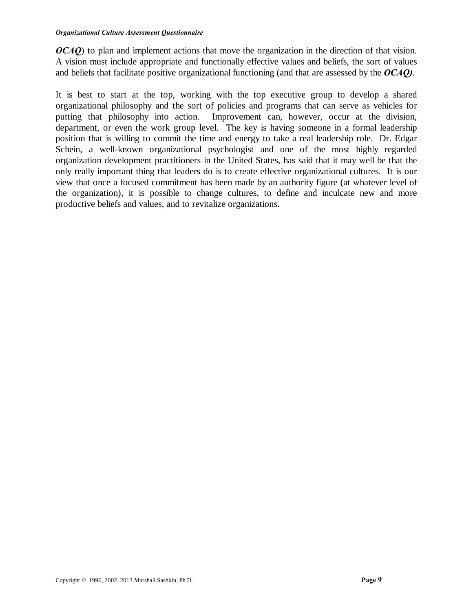*OCAQ*) to plan and implement actions that move the organization in the direction of that vision. A vision must include appropriate and functionally effective values and beliefs, the sort of values and beliefs that facilitate positive organizational functioning (and that are assessed by the *OCAQ)*.

It is best to start at the top, working with the top executive group to develop a shared organizational philosophy and the sort of policies and programs that can serve as vehicles for putting that philosophy into action. Improvement can, however, occur at the division, department, or even the work group level. The key is having someone in a formal leadership position that is willing to commit the time and energy to take a real leadership role. Dr. Edgar Schein, a well-known organizational psychologist and one of the most highly regarded organization development practitioners in the United States, has said that it may well be that the only really important thing that leaders do is to create effective organizational cultures. It is our view that once a focused commitment has been made by an authority figure (at whatever level of the organization), it is possible to change cultures, to define and inculcate new and more productive beliefs and values, and to revitalize organizations.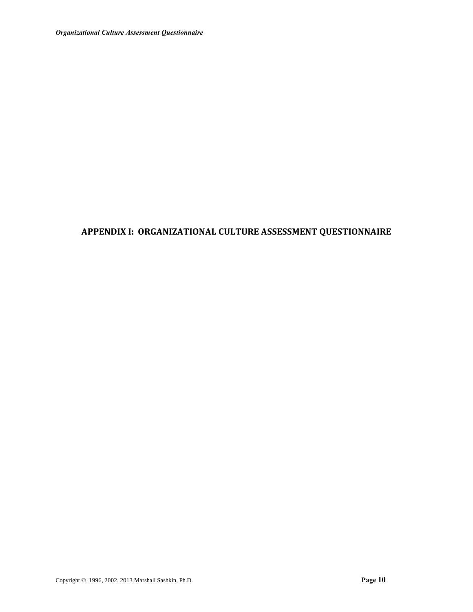## **APPENDIX I: ORGANIZATIONAL CULTURE ASSESSMENT QUESTIONNAIRE**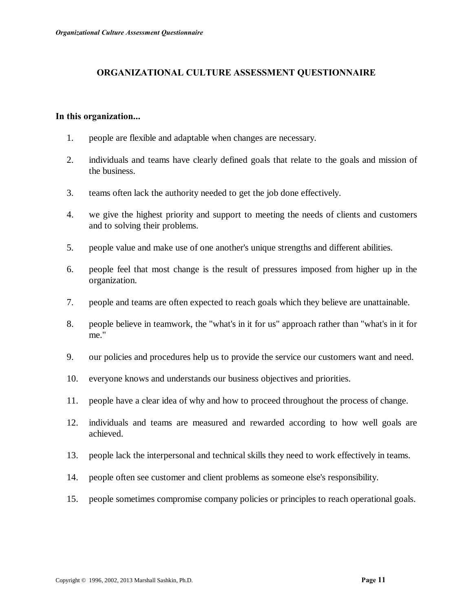### **ORGANIZATIONAL CULTURE ASSESSMENT QUESTIONNAIRE**

#### **In this organization...**

- 1. people are flexible and adaptable when changes are necessary.
- 2. individuals and teams have clearly defined goals that relate to the goals and mission of the business.
- 3. teams often lack the authority needed to get the job done effectively.
- 4. we give the highest priority and support to meeting the needs of clients and customers and to solving their problems.
- 5. people value and make use of one another's unique strengths and different abilities.
- 6. people feel that most change is the result of pressures imposed from higher up in the organization.
- 7. people and teams are often expected to reach goals which they believe are unattainable.
- 8. people believe in teamwork, the "what's in it for us" approach rather than "what's in it for me."
- 9. our policies and procedures help us to provide the service our customers want and need.
- 10. everyone knows and understands our business objectives and priorities.
- 11. people have a clear idea of why and how to proceed throughout the process of change.
- 12. individuals and teams are measured and rewarded according to how well goals are achieved.
- 13. people lack the interpersonal and technical skills they need to work effectively in teams.
- 14. people often see customer and client problems as someone else's responsibility.
- 15. people sometimes compromise company policies or principles to reach operational goals.